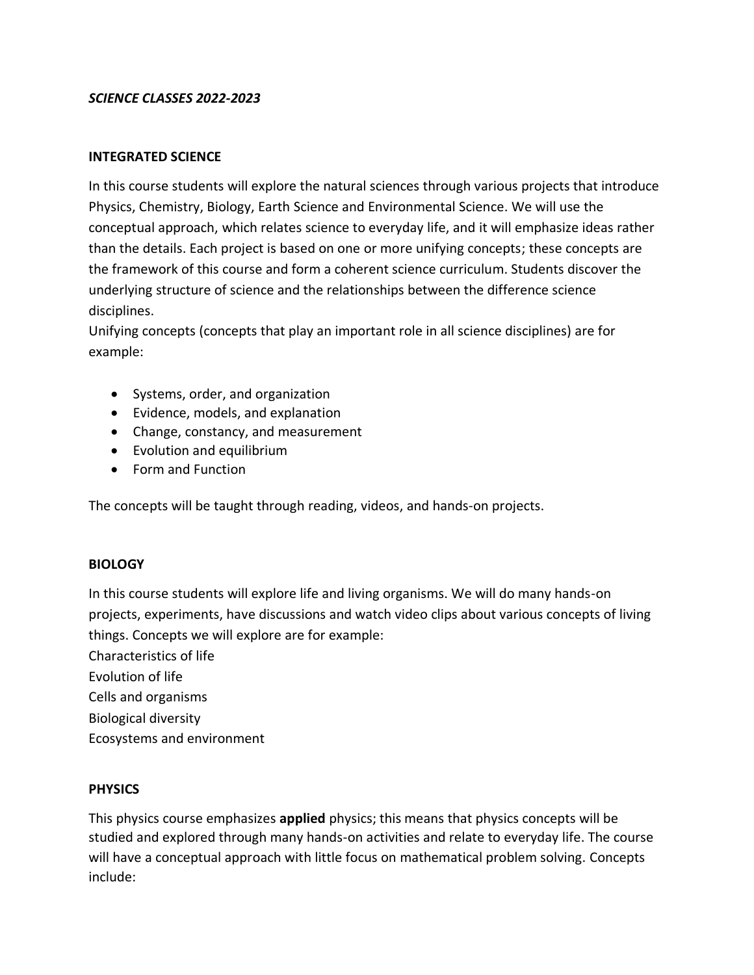## *SCIENCE CLASSES 2022-2023*

### **INTEGRATED SCIENCE**

In this course students will explore the natural sciences through various projects that introduce Physics, Chemistry, Biology, Earth Science and Environmental Science. We will use the conceptual approach, which relates science to everyday life, and it will emphasize ideas rather than the details. Each project is based on one or more unifying concepts; these concepts are the framework of this course and form a coherent science curriculum. Students discover the underlying structure of science and the relationships between the difference science disciplines.

Unifying concepts (concepts that play an important role in all science disciplines) are for example:

- Systems, order, and organization
- Evidence, models, and explanation
- Change, constancy, and measurement
- Evolution and equilibrium
- Form and Function

The concepts will be taught through reading, videos, and hands-on projects.

### **BIOLOGY**

In this course students will explore life and living organisms. We will do many hands-on projects, experiments, have discussions and watch video clips about various concepts of living things. Concepts we will explore are for example:

Characteristics of life

- Evolution of life
- Cells and organisms
- Biological diversity
- Ecosystems and environment

## **PHYSICS**

This physics course emphasizes **applied** physics; this means that physics concepts will be studied and explored through many hands-on activities and relate to everyday life. The course will have a conceptual approach with little focus on mathematical problem solving. Concepts include: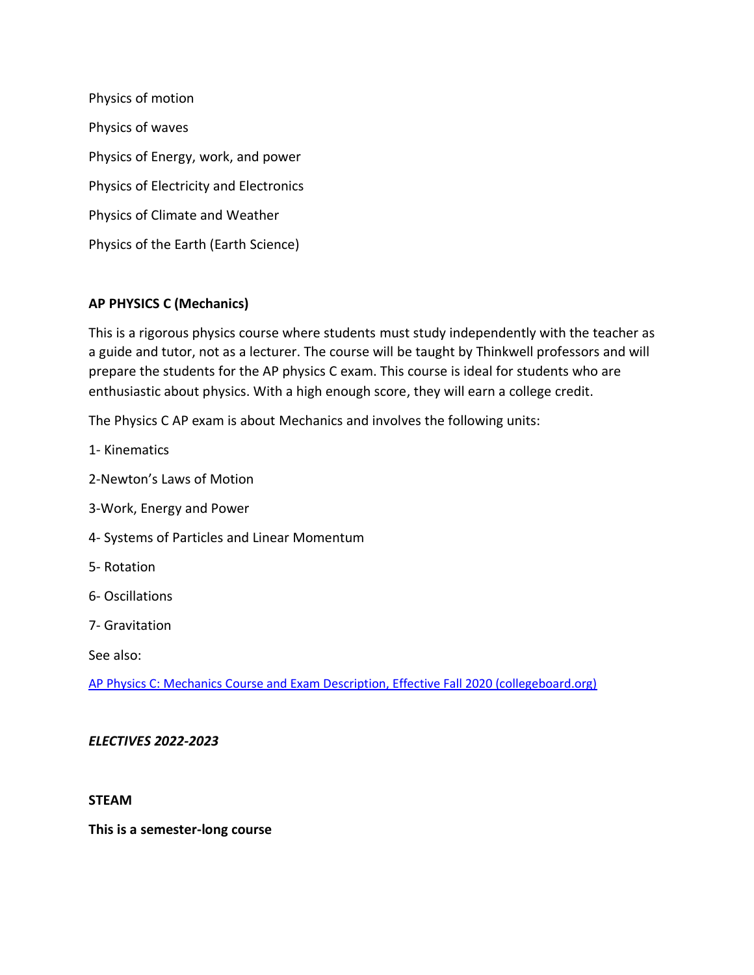Physics of motion Physics of waves Physics of Energy, work, and power Physics of Electricity and Electronics Physics of Climate and Weather Physics of the Earth (Earth Science)

# **AP PHYSICS C (Mechanics)**

This is a rigorous physics course where students must study independently with the teacher as a guide and tutor, not as a lecturer. The course will be taught by Thinkwell professors and will prepare the students for the AP physics C exam. This course is ideal for students who are enthusiastic about physics. With a high enough score, they will earn a college credit.

The Physics C AP exam is about Mechanics and involves the following units:

- 1- Kinematics
- 2-Newton's Laws of Motion
- 3-Work, Energy and Power
- 4- Systems of Particles and Linear Momentum
- 5- Rotation
- 6- Oscillations
- 7- Gravitation

See also:

[AP Physics C: Mechanics Course and Exam Description, Effective Fall 2020 \(collegeboard.org\)](https://apcentral.collegeboard.org/pdf/ap-physics-c-mechanics-course-and-exam-description.pdf?course=ap-physics-c-mechanics)

### *ELECTIVES 2022-2023*

### **STEAM**

**This is a semester-long course**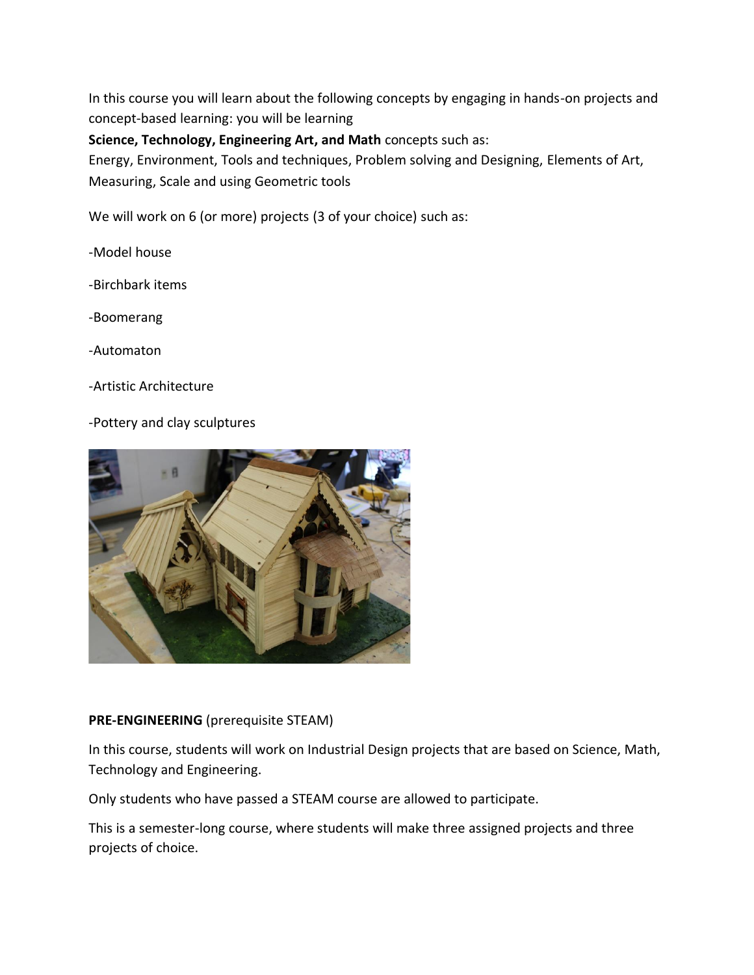In this course you will learn about the following concepts by engaging in hands-on projects and concept-based learning: you will be learning

**Science, Technology, Engineering Art, and Math** concepts such as:

Energy, Environment, Tools and techniques, Problem solving and Designing, Elements of Art, Measuring, Scale and using Geometric tools

We will work on 6 (or more) projects (3 of your choice) such as:

-Model house

-Birchbark items

-Boomerang

-Automaton

-Artistic Architecture

-Pottery and clay sculptures



## **PRE-ENGINEERING** (prerequisite STEAM)

In this course, students will work on Industrial Design projects that are based on Science, Math, Technology and Engineering.

Only students who have passed a STEAM course are allowed to participate.

This is a semester-long course, where students will make three assigned projects and three projects of choice.